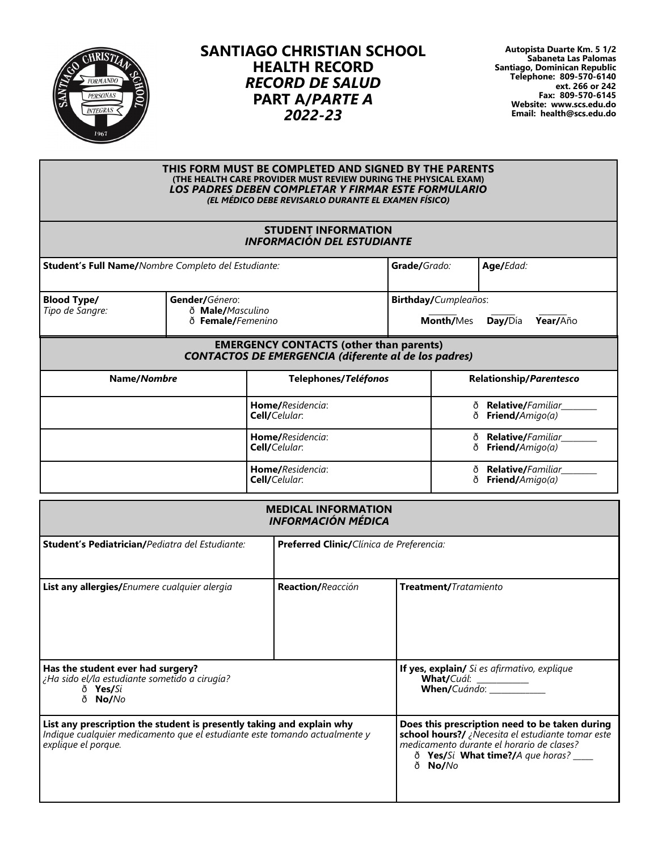

## **SANTIAGO CHRISTIAN SCHOOL HEALTH RECORD** *RECORD DE SALUD* **PART A/***PARTE A 2022-23*

**Autopista Duarte Km. 5 1/2 Sabaneta Las Palomas Santiago, Dominican Republic Telephone: 809-570-6140 ext. 266 or 242 Fax: 809-570-6145 Website: www.scs.edu.do Email: health@scs.edu.do**

|                                                                                                  |                                                     |                                          | THIS FORM MUST BE COMPLETED AND SIGNED BY THE PARENTS<br>(THE HEALTH CARE PROVIDER MUST REVIEW DURING THE PHYSICAL EXAM)<br><b>LOS PADRES DEBEN COMPLETAR Y FIRMAR ESTE FORMULARIO</b><br>(EL MÉDICO DEBE REVISARLO DURANTE EL EXAMEN FÍSICO) |                  |                         |                                      |  |  |
|--------------------------------------------------------------------------------------------------|-----------------------------------------------------|------------------------------------------|-----------------------------------------------------------------------------------------------------------------------------------------------------------------------------------------------------------------------------------------------|------------------|-------------------------|--------------------------------------|--|--|
|                                                                                                  |                                                     |                                          | <b>STUDENT INFORMATION</b><br><b>INFORMACIÓN DEL ESTUDIANTE</b>                                                                                                                                                                               |                  |                         |                                      |  |  |
|                                                                                                  | Student's Full Name/Nombre Completo del Estudiante: |                                          | Grade/Grado:                                                                                                                                                                                                                                  |                  | Age/Edad:               |                                      |  |  |
| Gender/Género:<br><b>Blood Type/</b><br>ð Male/Masculino<br>Tipo de Sangre:<br>ð Female/Femenino |                                                     |                                          | Birthday/Cumpleaños:<br>Month/Mes                                                                                                                                                                                                             |                  |                         | Year/Año<br>Day/Día                  |  |  |
|                                                                                                  |                                                     |                                          | <b>EMERGENCY CONTACTS (other than parents)</b><br><b>CONTACTOS DE EMERGENCIA (diferente al de los padres)</b>                                                                                                                                 |                  |                         |                                      |  |  |
| Name/Nombre                                                                                      |                                                     |                                          | Telephones/Teléfonos                                                                                                                                                                                                                          |                  | Relationship/Parentesco |                                      |  |  |
|                                                                                                  |                                                     |                                          | Home/Residencia:<br>Cell/Celular:                                                                                                                                                                                                             | ð<br>ð<br>ð<br>ð |                         | Relative/Familiar<br>Friend/Amigo(a) |  |  |
|                                                                                                  |                                                     |                                          | Home/Residencia:<br>Cell/Celular:                                                                                                                                                                                                             |                  |                         | Relative/Familiar<br>Friend/Amigo(a) |  |  |
|                                                                                                  |                                                     |                                          | Home/Residencia:<br>Cell/Celular:                                                                                                                                                                                                             | ð<br>ð           |                         | Relative/Familiar<br>Friend/Amigo(a) |  |  |
|                                                                                                  |                                                     |                                          | <b>MEDICAL INFORMATION</b><br><b>INFORMACIÓN MÉDICA</b>                                                                                                                                                                                       |                  |                         |                                      |  |  |
|                                                                                                  | Student's Pediatrician/Pediatra del Estudiante:     | Preferred Clinic/Clínica de Preferencia: |                                                                                                                                                                                                                                               |                  |                         |                                      |  |  |
| List any allergies/Enumere cualquier alergia                                                     |                                                     |                                          | Reaction/Reacción                                                                                                                                                                                                                             |                  | Treatment/Tratamiento   |                                      |  |  |

| Has the student ever had surgery?<br>¿Ha sido el/la estudiante sometido a cirugía?<br>ð <b>Yes/</b> Si<br>ð No/No                                                          | If yes, explain/ Si es afirmativo, explique<br><b>What/</b> Cuál:<br><b>When/</b> Cuándo:                                                                                                       |
|----------------------------------------------------------------------------------------------------------------------------------------------------------------------------|-------------------------------------------------------------------------------------------------------------------------------------------------------------------------------------------------|
| List any prescription the student is presently taking and explain why<br>Indique cualquier medicamento que el estudiante este tomando actualmente y<br>explique el porque. | Does this prescription need to be taken during<br>school hours?/ ¿Necesita el estudiante tomar este<br>medicamento durante el horario de clases?<br>ð Yes/Si What time?/A que horas?<br>ð No/No |